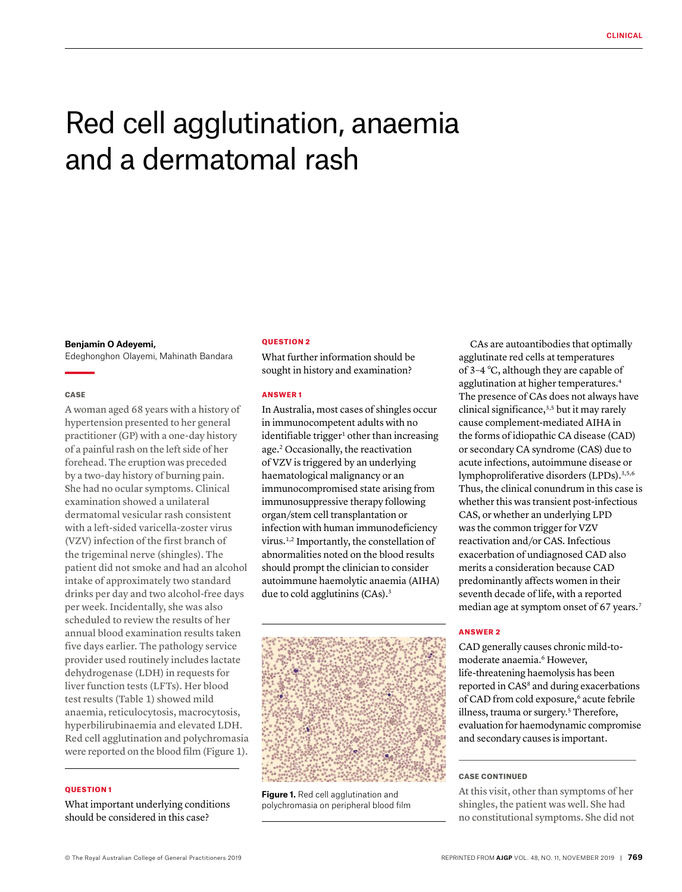# Red cell agglutination, anaemia and a dermatomal rash

#### **Benjamin O Adeyemi,**

Edeghonghon Olayemi, Mahinath Bandara

## CASE

A woman aged 68 years with a history of hypertension presented to her general practitioner (GP) with a one-day history of a painful rash on the left side of her forehead. The eruption was preceded by a two-day history of burning pain. She had no ocular symptoms. Clinical examination showed a unilateral dermatomal vesicular rash consistent with a left-sided varicella-zoster virus (VZV) infection of the first branch of the trigeminal nerve (shingles). The patient did not smoke and had an alcohol intake of approximately two standard drinks per day and two alcohol-free days per week. Incidentally, she was also scheduled to review the results of her annual blood examination results taken five days earlier. The pathology service provider used routinely includes lactate dehydrogenase (LDH) in requests for liver function tests (LFTs). Her blood test results (Table 1) showed mild anaemia, reticulocytosis, macrocytosis, hyperbilirubinaemia and elevated LDH. Red cell agglutination and polychromasia were reported on the blood film (Figure 1).

## QUESTION 1

What important underlying conditions should be considered in this case?

#### QUESTION 2

What further information should be sought in history and examination?

## ANSWER 1

In Australia, most cases of shingles occur in immunocompetent adults with no identifiable trigger<sup>1</sup> other than increasing age.2 Occasionally, the reactivation of VZV is triggered by an underlying haematological malignancy or an immunocompromised state arising from immunosuppressive therapy following organ/stem cell transplantation or infection with human immunodeficiency virus.1,2 Importantly, the constellation of abnormalities noted on the blood results should prompt the clinician to consider autoimmune haemolytic anaemia (AIHA) due to cold agglutinins (CAs).<sup>3</sup>



**Figure 1.** Red cell agglutination and polychromasia on peripheral blood film

CAs are autoantibodies that optimally agglutinate red cells at temperatures of 3–4 °C, although they are capable of agglutination at higher temperatures.4 The presence of CAs does not always have clinical significance,<sup>3,5</sup> but it may rarely cause complement-mediated AIHA in the forms of idiopathic CA disease (CAD) or secondary CA syndrome (CAS) due to acute infections, autoimmune disease or lymphoproliferative disorders (LPDs).<sup>3,5,6</sup> Thus, the clinical conundrum in this case is whether this was transient post-infectious CAS, or whether an underlying LPD was the common trigger for VZV reactivation and/or CAS. Infectious exacerbation of undiagnosed CAD also merits a consideration because CAD predominantly affects women in their seventh decade of life, with a reported median age at symptom onset of 67 years.<sup>7</sup>

### ANSWER 2

CAD generally causes chronic mild-tomoderate anaemia.6 However, life-threatening haemolysis has been reported in CAS<sup>8</sup> and during exacerbations of CAD from cold exposure,<sup>6</sup> acute febrile illness, trauma or surgery.<sup>5</sup> Therefore, evaluation for haemodynamic compromise and secondary causes is important.

## CASE CONTINUED

At this visit, other than symptoms of her shingles, the patient was well. She had no constitutional symptoms. She did not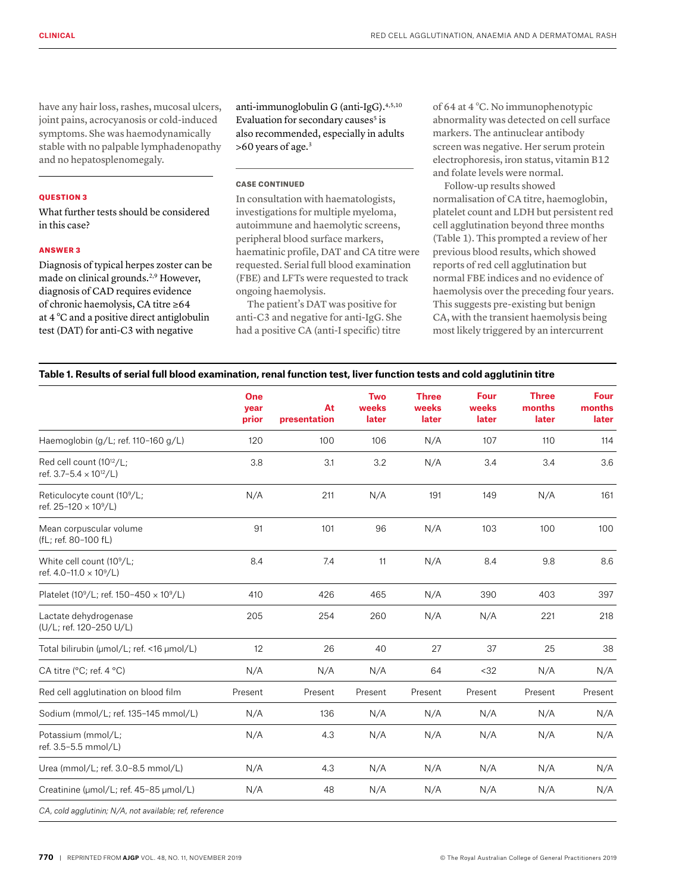have any hair loss, rashes, mucosal ulcers, joint pains, acrocyanosis or cold-induced symptoms. She was haemodynamically stable with no palpable lymphadenopathy and no hepatosplenomegaly.

#### QUESTION 3

What further tests should be considered in this case?

#### ANSWER 3

Diagnosis of typical herpes zoster can be made on clinical grounds.<sup>2,9</sup> However, diagnosis of CAD requires evidence of chronic haemolysis, CA titre ≥64 at 4 °C and a positive direct antiglobulin test (DAT) for anti-C3 with negative

anti-immunoglobulin G (anti-IgG).4,5,10 Evaluation for secondary causes<sup>5</sup> is also recommended, especially in adults >60 years of age.3

## CASE CONTINUED

In consultation with haematologists, investigations for multiple myeloma, autoimmune and haemolytic screens, peripheral blood surface markers, haematinic profile, DAT and CA titre were requested. Serial full blood examination (FBE) and LFTs were requested to track ongoing haemolysis.

The patient's DAT was positive for anti-C3 and negative for anti-IgG. She had a positive CA (anti-I specific) titre

of 64 at 4 °C. No immunophenotypic abnormality was detected on cell surface markers. The antinuclear antibody screen was negative. Her serum protein electrophoresis, iron status, vitamin B12 and folate levels were normal.

Follow-up results showed normalisation of CA titre, haemoglobin, platelet count and LDH but persistent red cell agglutination beyond three months (Table 1). This prompted a review of her previous blood results, which showed reports of red cell agglutination but normal FBE indices and no evidence of haemolysis over the preceding four years. This suggests pre-existing but benign CA, with the transient haemolysis being most likely triggered by an intercurrent

## **Table 1. Results of serial full blood examination, renal function test, liver function tests and cold agglutinin titre**

|                                                                                    | One<br>year<br>prior | At<br>presentation | <b>Two</b><br>weeks<br>later | <b>Three</b><br>weeks<br>later | <b>Four</b><br>weeks<br>later | <b>Three</b><br>months<br>later | <b>Four</b><br>months<br>later |
|------------------------------------------------------------------------------------|----------------------|--------------------|------------------------------|--------------------------------|-------------------------------|---------------------------------|--------------------------------|
| Haemoglobin (g/L; ref. 110-160 g/L)                                                | 120                  | 100                | 106                          | N/A                            | 107                           | 110                             | 114                            |
| Red cell count (10 <sup>12</sup> /L;<br>ref. 3.7-5.4 $\times$ 10 <sup>12</sup> /L) | 3.8                  | 3.1                | 3.2                          | N/A                            | 3.4                           | 3.4                             | 3.6                            |
| Reticulocyte count (10 <sup>9</sup> /L;<br>ref. 25-120 × 10 <sup>9</sup> /L)       | N/A                  | 211                | N/A                          | 191                            | 149                           | N/A                             | 161                            |
| Mean corpuscular volume<br>(fL; ref. 80-100 fL)                                    | 91                   | 101                | 96                           | N/A                            | 103                           | 100                             | 100                            |
| White cell count (10 <sup>9</sup> /L;<br>ref. 4.0-11.0 × 10 <sup>9</sup> /L)       | 8.4                  | 7.4                | 11                           | N/A                            | 8.4                           | 9.8                             | 8.6                            |
| Platelet (10 <sup>9</sup> /L; ref. 150-450 x 10 <sup>9</sup> /L)                   | 410                  | 426                | 465                          | N/A                            | 390                           | 403                             | 397                            |
| Lactate dehydrogenase<br>(U/L; ref. 120-250 U/L)                                   | 205                  | 254                | 260                          | N/A                            | N/A                           | 221                             | 218                            |
| Total bilirubin (umol/L; ref. <16 umol/L)                                          | 12                   | 26                 | 40                           | 27                             | 37                            | 25                              | 38                             |
| CA titre (°C; ref. 4 °C)                                                           | N/A                  | N/A                | N/A                          | 64                             | <32                           | N/A                             | N/A                            |
| Red cell agglutination on blood film                                               | Present              | Present            | Present                      | Present                        | Present                       | Present                         | Present                        |
| Sodium (mmol/L; ref. 135-145 mmol/L)                                               | N/A                  | 136                | N/A                          | N/A                            | N/A                           | N/A                             | N/A                            |
| Potassium (mmol/L;<br>ref. 3.5-5.5 mmol/L)                                         | N/A                  | 4.3                | N/A                          | N/A                            | N/A                           | N/A                             | N/A                            |
| Urea (mmol/L; ref. 3.0-8.5 mmol/L)                                                 | N/A                  | 4.3                | N/A                          | N/A                            | N/A                           | N/A                             | N/A                            |
| Creatinine (umol/L; ref. 45-85 µmol/L)                                             | N/A                  | 48                 | N/A                          | N/A                            | N/A                           | N/A                             | N/A                            |
| CA, cold agglutinin; N/A, not available; ref, reference                            |                      |                    |                              |                                |                               |                                 |                                |